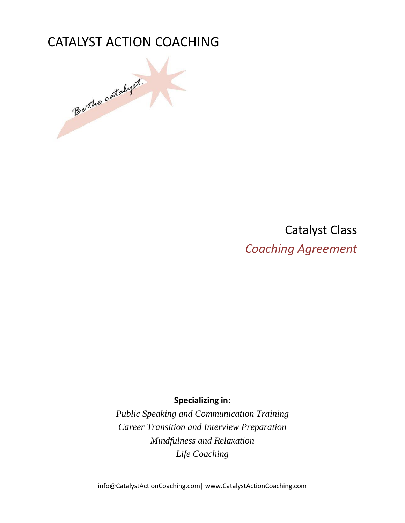

Catalyst Class *Coaching Agreement*

**Specializing in:** 

*Public Speaking and Communication Training Career Transition and Interview Preparation Mindfulness and Relaxation Life Coaching*

info@CatalystActionCoaching.com| www.CatalystActionCoaching.com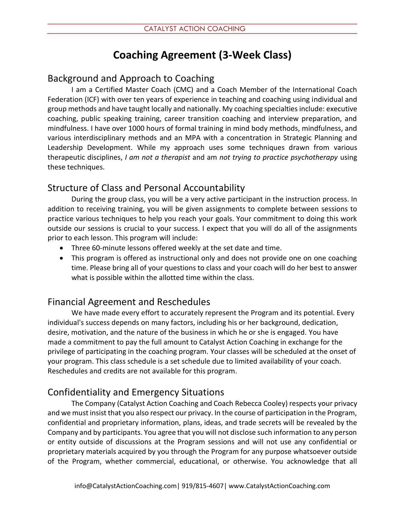# **Coaching Agreement (3-Week Class)**

## Background and Approach to Coaching

I am a Certified Master Coach (CMC) and a Coach Member of the International Coach Federation (ICF) with over ten years of experience in teaching and coaching using individual and group methods and have taught locally and nationally. My coaching specialties include: executive coaching, public speaking training, career transition coaching and interview preparation, and mindfulness. I have over 1000 hours of formal training in mind body methods, mindfulness, and various interdisciplinary methods and an MPA with a concentration in Strategic Planning and Leadership Development. While my approach uses some techniques drawn from various therapeutic disciplines, *I am not a therapist* and am *not trying to practice psychotherapy* using these techniques.

### Structure of Class and Personal Accountability

During the group class, you will be a very active participant in the instruction process. In addition to receiving training, you will be given assignments to complete between sessions to practice various techniques to help you reach your goals. Your commitment to doing this work outside our sessions is crucial to your success. I expect that you will do all of the assignments prior to each lesson. This program will include:

- Three 60-minute lessons offered weekly at the set date and time.
- This program is offered as instructional only and does not provide one on one coaching time. Please bring all of your questions to class and your coach will do her best to answer what is possible within the allotted time within the class.

### Financial Agreement and Reschedules

We have made every effort to accurately represent the Program and its potential. Every individual's success depends on many factors, including his or her background, dedication, desire, motivation, and the nature of the business in which he or she is engaged. You have made a commitment to pay the full amount to Catalyst Action Coaching in exchange for the privilege of participating in the coaching program. Your classes will be scheduled at the onset of your program. This class schedule is a set schedule due to limited availability of your coach. Reschedules and credits are not available for this program.

### Confidentiality and Emergency Situations

The Company (Catalyst Action Coaching and Coach Rebecca Cooley) respects your privacy and we must insist that you also respect our privacy. In the course of participation in the Program, confidential and proprietary information, plans, ideas, and trade secrets will be revealed by the Company and by participants. You agree that you will not disclose such information to any person or entity outside of discussions at the Program sessions and will not use any confidential or proprietary materials acquired by you through the Program for any purpose whatsoever outside of the Program, whether commercial, educational, or otherwise. You acknowledge that all